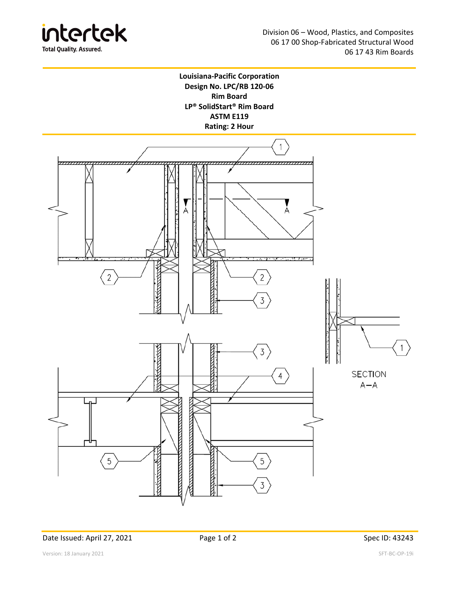